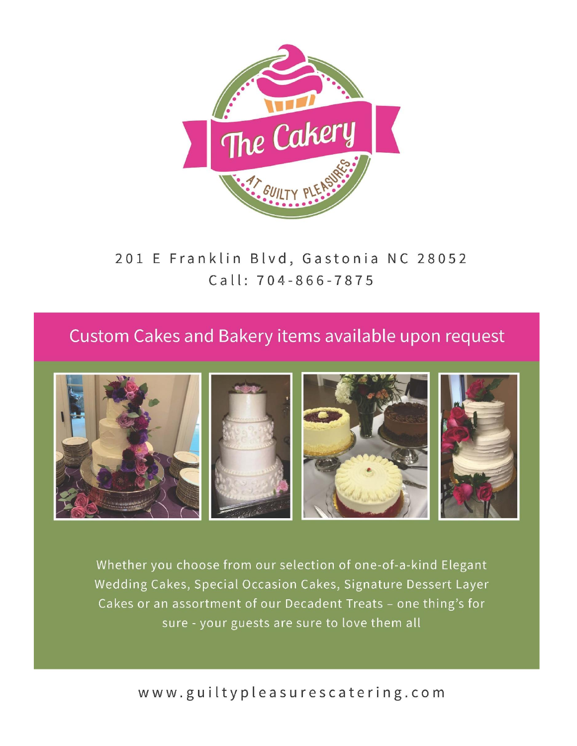

201 E Franklin Blvd, Gastonia NC 28052 Call: 704-866-7875

## Custom Cakes and Bakery items available upon request



Whether you choose from our selection of one-of-a-kind Elegant Wedding Cakes, Special Occasion Cakes, Signature Dessert Layer Cakes or an assortment of our Decadent Treats - one thing's for sure - your guests are sure to love them all

www.guiltypleasurescatering.com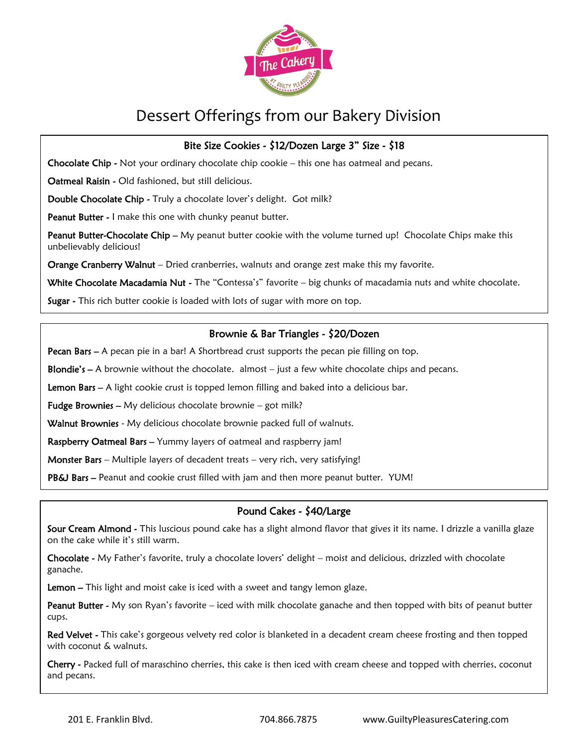

#### Bite Size Cookies - \$12/Dozen Large 3" Size - \$18

Chocolate Chip - Not your ordinary chocolate chip cookie - this one has oatmeal and pecans.

Oatmeal Raisin - Old fashioned, but still delicious.

Double Chocolate Chip - Truly a chocolate lover's delight. Got milk?

Peanut Butter - I make this one with chunky peanut butter.

Peanut Butter-Chocolate Chip - My peanut butter cookie with the volume turned up! Chocolate Chips make this unbelievably delicious!

Orange Cranberry Walnut - Dried cranberries, walnuts and orange zest make this my favorite.

White Chocolate Macadamia Nut - The "Contessa's" favorite - big chunks of macadamia nuts and white chocolate.

Sugar - This rich butter cookie is loaded with lots of sugar with more on top.

#### Brownie & Bar Triangles - \$20/Dozen

Pecan Bars - A pecan pie in a bar! A Shortbread crust supports the pecan pie filling on top.

**Blondie's – A** brownie without the chocolate. almost  $-$  just a few white chocolate chips and pecans.

Lemon Bars – A light cookie crust is topped lemon filling and baked into a delicious bar.

**Fudge Brownies –** My delicious chocolate brownie – got milk?

Walnut Brownies - My delicious chocolate brownie packed full of walnuts.

Raspberry Oatmeal Bars - Yummy layers of oatmeal and raspberry jam!

**Monster Bars** – Multiple layers of decadent treats – very rich, very satisfying!

PB&J Bars - Peanut and cookie crust filled with jam and then more peanut butter. YUM!

#### Pound Cakes - \$40/Large

Sour Cream Almond - This luscious pound cake has a slight almond flavor that gives it its name. I drizzle a vanilla glaze on the cake while it's still warm.

Chocolate - My Father's favorite, truly a chocolate lovers' delight – moist and delicious, drizzled with chocolate ganache.

Lemon – This light and moist cake is iced with a sweet and tangy lemon glaze.

Peanut Butter - My son Ryan's favorite – iced with milk chocolate ganache and then topped with bits of peanut butter cups.

Red Velvet - This cake's gorgeous velvety red color is blanketed in a decadent cream cheese frosting and then topped with coconut & walnuts.

Cherry - Packed full of maraschino cherries, this cake is then iced with cream cheese and topped with cherries, coconut and pecans.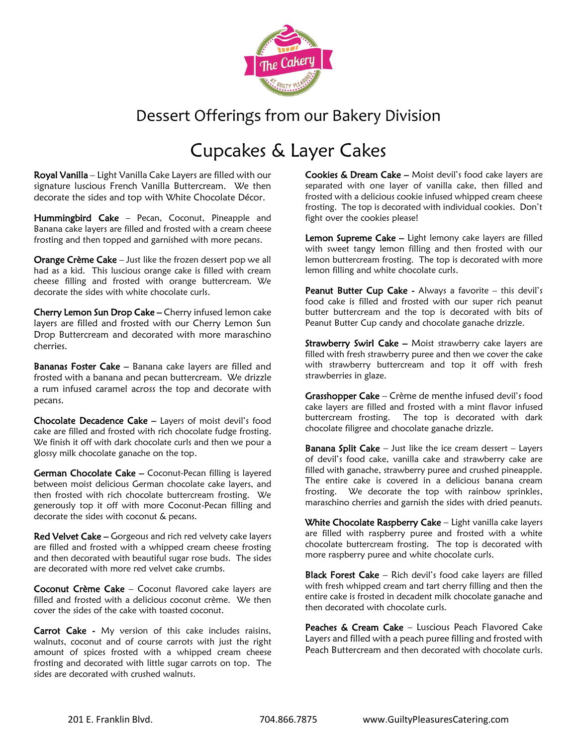

# Cupcakes & Layer Cakes

Royal Vanilla – Light Vanilla Cake Layers are filled with our signature luscious French Vanilla Buttercream. We then decorate the sides and top with White Chocolate Décor.

Hummingbird Cake - Pecan, Coconut, Pineapple and Banana cake layers are filled and frosted with a cream cheese frosting and then topped and garnished with more pecans.

Orange Crème Cake - Just like the frozen dessert pop we all had as a kid. This luscious orange cake is filled with cream cheese filling and frosted with orange buttercream. We decorate the sides with white chocolate curls.

Cherry Lemon Sun Drop Cake – Cherry infused lemon cake layers are filled and frosted with our Cherry Lemon Sun Drop Buttercream and decorated with more maraschino cherries.

Bananas Foster Cake - Banana cake layers are filled and frosted with a banana and pecan buttercream. We drizzle a rum infused caramel across the top and decorate with pecans.

Chocolate Decadence Cake – Layers of moist devil's food cake are filled and frosted with rich chocolate fudge frosting. We finish it off with dark chocolate curls and then we pour a glossy milk chocolate ganache on the top.

German Chocolate Cake – Coconut-Pecan filling is layered between moist delicious German chocolate cake layers, and then frosted with rich chocolate buttercream frosting. We generously top it off with more Coconut-Pecan filling and decorate the sides with coconut & pecans.

Red Velvet Cake – Gorgeous and rich red velvety cake layers are filled and frosted with a whipped cream cheese frosting and then decorated with beautiful sugar rose buds. The sides are decorated with more red velvet cake crumbs.

Coconut Crème Cake – Coconut flavored cake layers are filled and frosted with a delicious coconut crème. We then cover the sides of the cake with toasted coconut.

Carrot Cake - My version of this cake includes raisins, walnuts, coconut and of course carrots with just the right amount of spices frosted with a whipped cream cheese frosting and decorated with little sugar carrots on top. The sides are decorated with crushed walnuts.

Cookies & Dream Cake - Moist devil's food cake layers are separated with one layer of vanilla cake, then filled and frosted with a delicious cookie infused whipped cream cheese frosting. The top is decorated with individual cookies. Don't fight over the cookies please!

Lemon Supreme Cake - Light lemony cake layers are filled with sweet tangy lemon filling and then frosted with our lemon buttercream frosting. The top is decorated with more lemon filling and white chocolate curls.

Peanut Butter Cup Cake - Always a favorite - this devil's food cake is filled and frosted with our super rich peanut butter buttercream and the top is decorated with bits of Peanut Butter Cup candy and chocolate ganache drizzle.

Strawberry Swirl Cake - Moist strawberry cake layers are filled with fresh strawberry puree and then we cover the cake with strawberry buttercream and top it off with fresh strawberries in glaze.

Grasshopper Cake – Crème de menthe infused devil's food cake layers are filled and frosted with a mint flavor infused buttercream frosting. The top is decorated with dark chocolate filigree and chocolate ganache drizzle.

**Banana Split Cake**  $-$  Just like the ice cream dessert  $-$  Layers of devil's food cake, vanilla cake and strawberry cake are filled with ganache, strawberry puree and crushed pineapple. The entire cake is covered in a delicious banana cream frosting. We decorate the top with rainbow sprinkles, maraschino cherries and garnish the sides with dried peanuts.

White Chocolate Raspberry Cake - Light vanilla cake layers are filled with raspberry puree and frosted with a white chocolate buttercream frosting. The top is decorated with more raspberry puree and white chocolate curls.

Black Forest Cake - Rich devil's food cake layers are filled with fresh whipped cream and tart cherry filling and then the entire cake is frosted in decadent milk chocolate ganache and then decorated with chocolate curls.

Peaches & Cream Cake - Luscious Peach Flavored Cake Layers and filled with a peach puree filling and frosted with Peach Buttercream and then decorated with chocolate curls.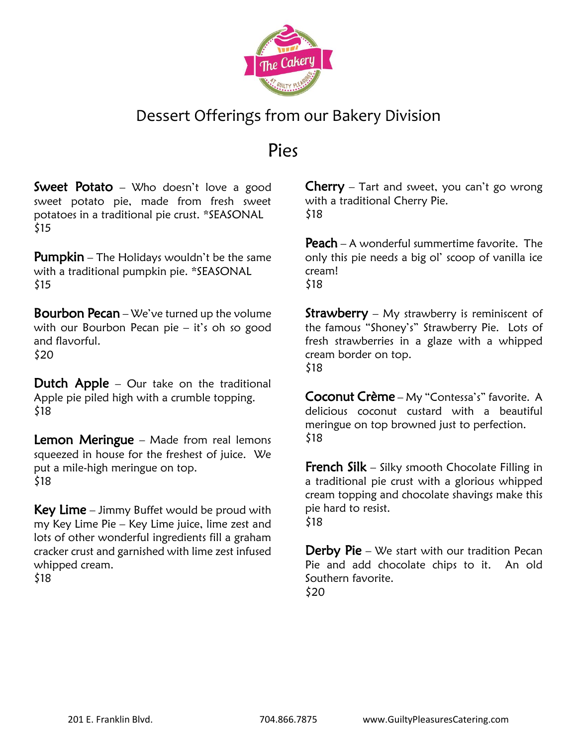

## Pies

**Sweet Potato** – Who doesn't love a good sweet potato pie, made from fresh sweet potatoes in a traditional pie crust. \*SEASONAL \$15

**Pumpkin** – The Holidays wouldn't be the same with a traditional pumpkin pie. \*SEASONAL \$15

**Bourbon Pecan** – We've turned up the volume with our Bourbon Pecan pie – it's oh so good and flavorful. \$20

**Dutch Apple** – Our take on the traditional Apple pie piled high with a crumble topping. \$18

**Lemon Meringue** – Made from real lemons squeezed in house for the freshest of juice. We put a mile-high meringue on top. \$18

**Key Lime** – Jimmy Buffet would be proud with my Key Lime Pie – Key Lime juice, lime zest and lots of other wonderful ingredients fill a graham cracker crust and garnished with lime zest infused whipped cream. \$18

**Cherry** – Tart and sweet, you can't go wrong with a traditional Cherry Pie. \$18

Peach – A wonderful summertime favorite. The only this pie needs a big ol' scoop of vanilla ice cream! \$18

**Strawberry** – My strawberry is reminiscent of the famous "Shoney's" Strawberry Pie. Lots of fresh strawberries in a glaze with a whipped cream border on top. \$18

Coconut Crème – My "Contessa's" favorite. A delicious coconut custard with a beautiful meringue on top browned just to perfection. \$18

**French Silk** – Silky smooth Chocolate Filling in a traditional pie crust with a glorious whipped cream topping and chocolate shavings make this pie hard to resist. \$18

**Derby Pie** – We start with our tradition Pecan Pie and add chocolate chips to it. An old Southern favorite. \$20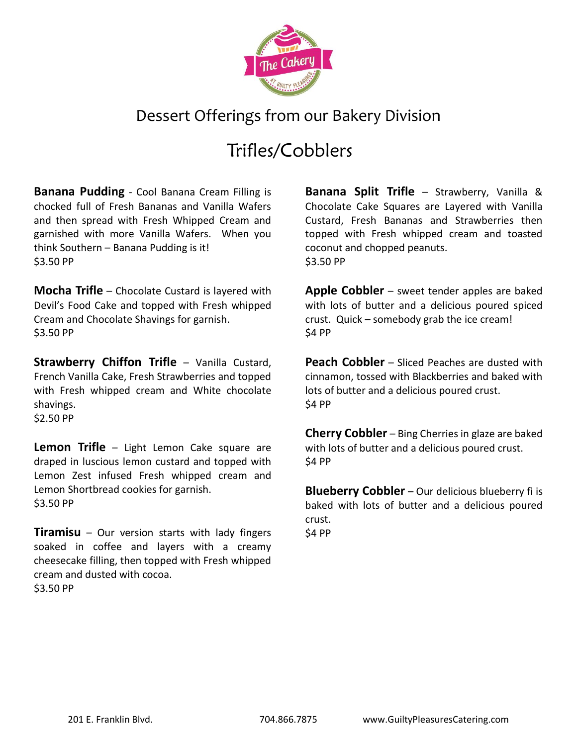

# Trifles/Cobblers

**Banana Pudding** - Cool Banana Cream Filling is chocked full of Fresh Bananas and Vanilla Wafers and then spread with Fresh Whipped Cream and garnished with more Vanilla Wafers. When you think Southern – Banana Pudding is it! \$3.50 PP

**Mocha Trifle** – Chocolate Custard is layered with Devil's Food Cake and topped with Fresh whipped Cream and Chocolate Shavings for garnish. \$3.50 PP

**Strawberry Chiffon Trifle** – Vanilla Custard, French Vanilla Cake, Fresh Strawberries and topped with Fresh whipped cream and White chocolate shavings. \$2.50 PP

**Lemon Trifle** – Light Lemon Cake square are draped in luscious lemon custard and topped with Lemon Zest infused Fresh whipped cream and Lemon Shortbread cookies for garnish. \$3.50 PP

**Tiramisu** – Our version starts with lady fingers soaked in coffee and layers with a creamy cheesecake filling, then topped with Fresh whipped cream and dusted with cocoa. \$3.50 PP

**Banana Split Trifle** – Strawberry, Vanilla & Chocolate Cake Squares are Layered with Vanilla Custard, Fresh Bananas and Strawberries then topped with Fresh whipped cream and toasted coconut and chopped peanuts. \$3.50 PP

**Apple Cobbler** – sweet tender apples are baked with lots of butter and a delicious poured spiced crust. Quick – somebody grab the ice cream! \$4 PP

**Peach Cobbler** – Sliced Peaches are dusted with cinnamon, tossed with Blackberries and baked with lots of butter and a delicious poured crust. \$4 PP

**Cherry Cobbler** – Bing Cherries in glaze are baked with lots of butter and a delicious poured crust. \$4 PP

**Blueberry Cobbler** – Our delicious blueberry fi is baked with lots of butter and a delicious poured crust. \$4 PP